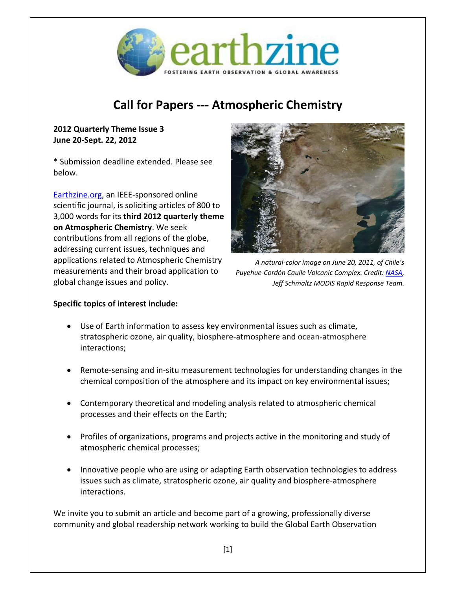

# **Call for Papers --- Atmospheric Chemistry**

## **2012 Quarterly Theme Issue 3 June 20-Sept. 22, 2012**

\* Submission deadline extended. Please see below.

[Earthzine.org,](http://earthzine.org/) an IEEE-sponsored online scientific journal, is soliciting articles of 800 to 3,000 words for its **third 2012 quarterly theme on Atmospheric Chemistry**. We seek contributions from all regions of the globe, addressing current issues, techniques and applications related to Atmospheric Chemistry measurements and their broad application to global change issues and policy.



*A natural-color image on June 20, 2011, of Chile's Puyehue-Cordón Caulle Volcanic Complex. Credit: [NASA,](http://earthobservatory.nasa.gov/NaturalHazards/view.php?id=51142) Jeff Schmaltz MODIS Rapid Response Team.*

## **Specific topics of interest include:**

- Use of Earth information to assess key environmental issues such as climate, stratospheric ozone, air quality, biosphere-atmosphere and ocean-atmosphere interactions;
- Remote-sensing and in-situ measurement technologies for understanding changes in the chemical composition of the atmosphere and its impact on key environmental issues;
- Contemporary theoretical and modeling analysis related to atmospheric chemical processes and their effects on the Earth;
- Profiles of organizations, programs and projects active in the monitoring and study of atmospheric chemical processes;
- Innovative people who are using or adapting Earth observation technologies to address issues such as climate, stratospheric ozone, air quality and biosphere-atmosphere interactions.

We invite you to submit an article and become part of a growing, professionally diverse community and global readership network working to build the Global Earth Observation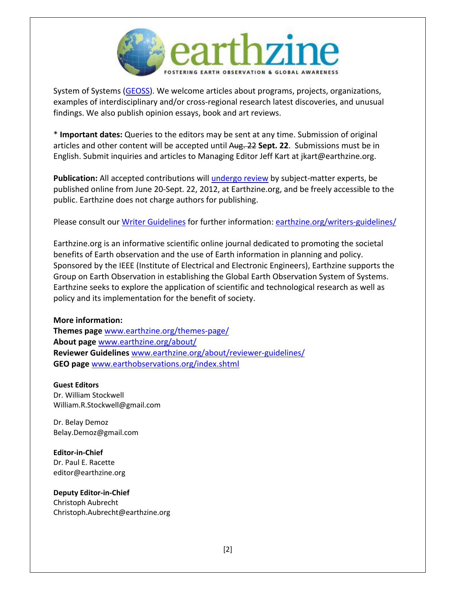

System of Systems [\(GEOSS\)](http://www.earthzine.org/geo-and-geoss-the-group-on-earth-observations-and-the-global-earth-observations-system-of-systems/). We welcome articles about programs, projects, organizations, examples of interdisciplinary and/or cross-regional research latest discoveries, and unusual findings. We also publish opinion essays, book and art reviews.

\* **Important dates:** Queries to the editors may be sent at any time. Submission of original articles and other content will be accepted until Aug. 22 **Sept. 22**. Submissions must be in English. Submit inquiries and articles to Managing Editor Jeff Kart at jkart@earthzine.org.

**Publication:** All accepted contributions will [undergo review](http://www.earthzine.org/about/reviewer-guidelines/) by subject-matter experts, be published online from June 20-Sept. 22, 2012, at Earthzine.org, and be freely accessible to the public. Earthzine does not charge authors for publishing.

Please consult our Writer [Guidelines](http://www.earthzine.org/writers-guidelines/) for further information: [earthzine.org/writers-guidelines/](http://www.earthzine.org/writers-guidelines/)

Earthzine.org is an informative scientific online journal dedicated to promoting the societal benefits of Earth observation and the use of Earth information in planning and policy. Sponsored by the IEEE (Institute of Electrical and Electronic Engineers), Earthzine supports the Group on Earth Observation in establishing the Global Earth Observation System of Systems. Earthzine seeks to explore the application of scientific and technological research as well as policy and its implementation for the benefit of society.

### **More information:**

**Themes page** [www.earthzine.org/themes-page/](http://www.earthzine.org/themes-page/) **About page** [www.earthzine.org/about/](http://www.earthzine.org/about/) **Reviewer Guidelines** [www.earthzine.org/about/reviewer-guidelines/](http://www.earthzine.org/about/reviewer-guidelines/) **GEO page** [www.earthobservations.org/index.shtml](http://www.earthobservations.org/index.shtml)

**Guest Editors**

Dr. William Stockwell [William.R.Stockwell@gmail.com](mailto:William.R.Stockwell@gmail.com) 

Dr. Belay Demoz [Belay.Demoz@gmail.com](mailto:Belay.Demoz@gmail.com)

**Editor-in-Chief** Dr. Paul E. Racette [editor@earthzine.org](mailto:editor@earthzine.org) 

### **Deputy Editor-in-Chief**

Christoph Aubrecht Christoph.Aubrecht@earthzine.org